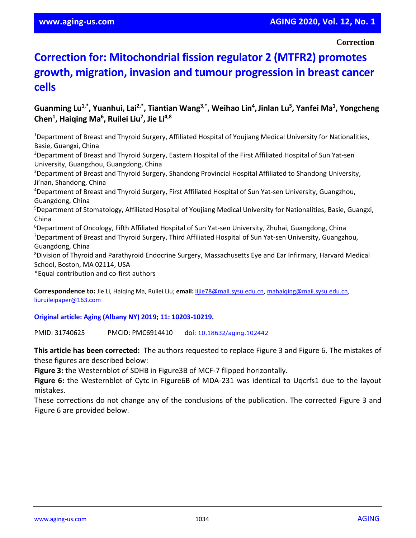**Correction**

## **Correction for: Mitochondrial fission regulator 2 (MTFR2) promotes growth, migration, invasion and tumour progression in breast cancer cells**

## **Guanming Lu1,\* , Yuanhui, Lai2,\* , Tiantian Wang3,\* , Weihao Lin<sup>4</sup> ,Jinlan Lu<sup>5</sup> , Yanfei Ma<sup>1</sup> , Yongcheng Chen<sup>1</sup> , Haiqing Ma<sup>6</sup> , Ruilei Liu<sup>7</sup> , Jie Li4,8**

<sup>1</sup>Department of Breast and Thyroid Surgery, Affiliated Hospital of Youjiang Medical University for Nationalities, Basie, Guangxi, China

<sup>2</sup>Department of Breast and Thyroid Surgery, Eastern Hospital of the First Affiliated Hospital of Sun Yat-sen University, Guangzhou, Guangdong, China

<sup>3</sup>Department of Breast and Thyroid Surgery, Shandong Provincial Hospital Affiliated to Shandong University, Ji'nan, Shandong, China

<sup>4</sup>Department of Breast and Thyroid Surgery, First Affiliated Hospital of Sun Yat-sen University, Guangzhou, Guangdong, China

<sup>5</sup>Department of Stomatology, Affiliated Hospital of Youjiang Medical University for Nationalities, Basie, Guangxi, China

<sup>6</sup>Department of Oncology, Fifth Affiliated Hospital of Sun Yat-sen University, Zhuhai, Guangdong, China

<sup>7</sup>Department of Breast and Thyroid Surgery, Third Affiliated Hospital of Sun Yat-sen University, Guangzhou, Guangdong, China

<sup>8</sup>Division of Thyroid and Parathyroid Endocrine Surgery, Massachusetts Eye and Ear Infirmary, Harvard Medical School, Boston, MA 02114, USA

\*Equal contribution and co-first authors

**Correspondence to:** Jie Li, Haiqing Ma, Ruilei Liu; **email:** [lijie78@mail.sysu.edu.cn,](mailto:lijie78@mail.sysu.edu.cn) [mahaiqing@mail.sysu.edu.cn,](mailto:mahaiqing@mail.sysu.edu.cn) liuruileipaper@163.com

**Original article: Aging (Albany NY) 2019; 11: 10203-10219.**

PMID: 31740625 PMCID: PMC6914410 doi: [10.18632/aging.102442](https://doi.org/10.18632/aging.102442)

**This article has been corrected:** The authors requested to replace Figure 3 and Figure 6. The mistakes of these figures are described below:

**Figure 3:** the Westernblot of SDHB in Figure3B of MCF-7 flipped horizontally.

**Figure 6:** the Westernblot of Cytc in Figure6B of MDA-231 was identical to Uqcrfs1 due to the layout mistakes.

These corrections do not change any of the conclusions of the publication. The corrected Figure 3 and Figure 6 are provided below.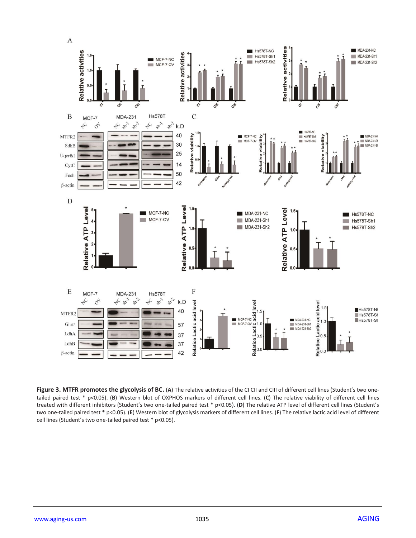

Figure 3. MTFR promotes the glycolysis of BC. (A) The relative activities of the CI CII and CIII of different cell lines (Student's two onetailed paired test \* p<0.05). (**B**) Western blot of OXPHOS markers of different cell lines. (**C**) The relative viability of different cell lines treated with different inhibitors (Student's two one-tailed paired test \* p<0.05). (**D**) The relative ATP level of different cell lines (Student's two one-tailed paired test \* p<0.05). (**E**) Western blot of glycolysis markers of different cell lines. (**F**) The relative lactic acid level of different cell lines (Student's two one-tailed paired test \* p<0.05).